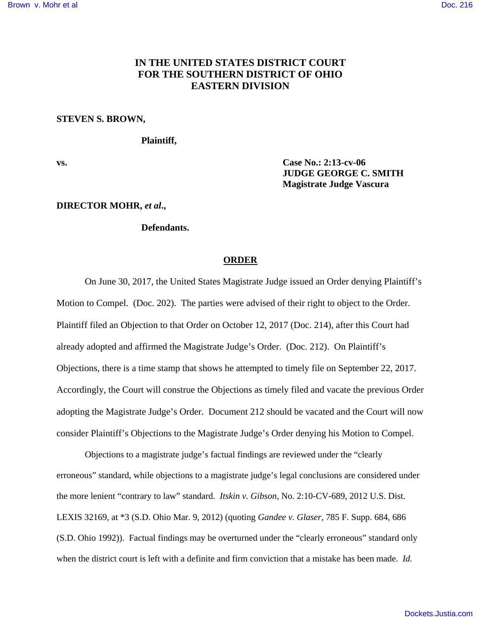## **IN THE UNITED STATES DISTRICT COURT FOR THE SOUTHERN DISTRICT OF OHIO EASTERN DIVISION**

#### **STEVEN S. BROWN,**

### **Plaintiff,**

**vs. Case No.: 2:13-cv-06 JUDGE GEORGE C. SMITH Magistrate Judge Vascura**

#### **DIRECTOR MOHR,** *et al***.,**

## **Defendants.**

#### **ORDER**

On June 30, 2017, the United States Magistrate Judge issued an Order denying Plaintiff's Motion to Compel. (Doc. 202). The parties were advised of their right to object to the Order*.*  Plaintiff filed an Objection to that Order on October 12, 2017 (Doc. 214), after this Court had already adopted and affirmed the Magistrate Judge's Order. (Doc. 212). On Plaintiff's Objections, there is a time stamp that shows he attempted to timely file on September 22, 2017. Accordingly, the Court will construe the Objections as timely filed and vacate the previous Order adopting the Magistrate Judge's Order. Document 212 should be vacated and the Court will now consider Plaintiff's Objections to the Magistrate Judge's Order denying his Motion to Compel.

Objections to a magistrate judge's factual findings are reviewed under the "clearly erroneous" standard, while objections to a magistrate judge's legal conclusions are considered under the more lenient "contrary to law" standard. *Itskin v. Gibson*, No. 2:10-CV-689, 2012 U.S. Dist. LEXIS 32169, at \*3 (S.D. Ohio Mar. 9, 2012) (quoting *Gandee v. Glaser*, 785 F. Supp. 684, 686 (S.D. Ohio 1992)). Factual findings may be overturned under the "clearly erroneous" standard only when the district court is left with a definite and firm conviction that a mistake has been made. *Id.*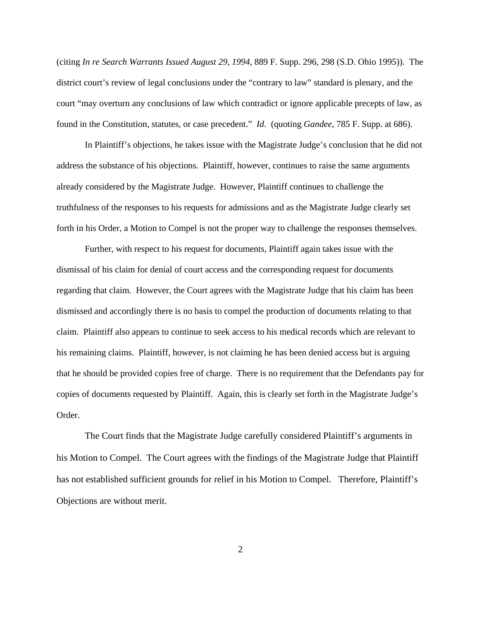(citing *In re Search Warrants Issued August 29, 1994*, 889 F. Supp. 296, 298 (S.D. Ohio 1995)). The district court's review of legal conclusions under the "contrary to law" standard is plenary, and the court "may overturn any conclusions of law which contradict or ignore applicable precepts of law, as found in the Constitution, statutes, or case precedent." *Id.* (quoting *Gandee*, 785 F. Supp. at 686).

In Plaintiff's objections, he takes issue with the Magistrate Judge's conclusion that he did not address the substance of his objections. Plaintiff, however, continues to raise the same arguments already considered by the Magistrate Judge. However, Plaintiff continues to challenge the truthfulness of the responses to his requests for admissions and as the Magistrate Judge clearly set forth in his Order, a Motion to Compel is not the proper way to challenge the responses themselves.

Further, with respect to his request for documents, Plaintiff again takes issue with the dismissal of his claim for denial of court access and the corresponding request for documents regarding that claim. However, the Court agrees with the Magistrate Judge that his claim has been dismissed and accordingly there is no basis to compel the production of documents relating to that claim. Plaintiff also appears to continue to seek access to his medical records which are relevant to his remaining claims. Plaintiff, however, is not claiming he has been denied access but is arguing that he should be provided copies free of charge. There is no requirement that the Defendants pay for copies of documents requested by Plaintiff. Again, this is clearly set forth in the Magistrate Judge's Order.

The Court finds that the Magistrate Judge carefully considered Plaintiff's arguments in his Motion to Compel. The Court agrees with the findings of the Magistrate Judge that Plaintiff has not established sufficient grounds for relief in his Motion to Compel. Therefore, Plaintiff's Objections are without merit.